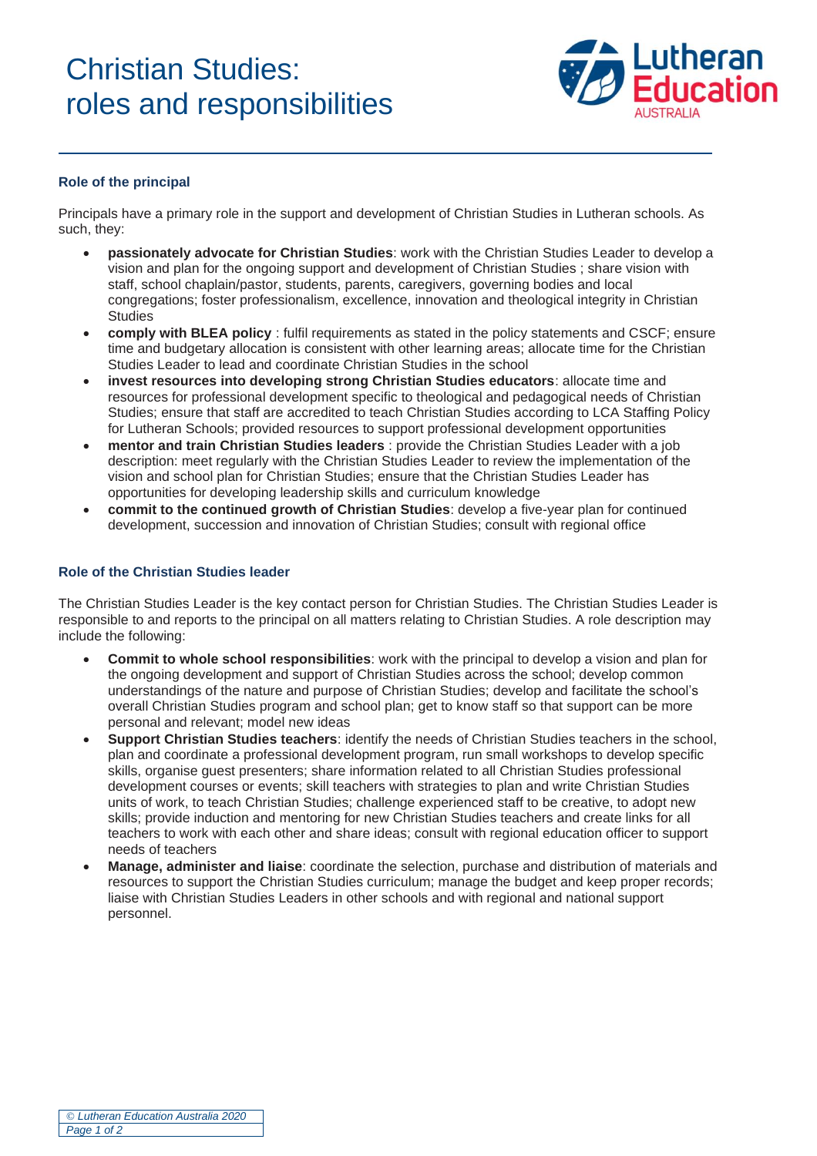# Christian Studies: roles and responsibilities



### **Role of the principal**

Principals have a primary role in the support and development of Christian Studies in Lutheran schools. As such, they:

- **passionately advocate for Christian Studies**: work with the Christian Studies Leader to develop a vision and plan for the ongoing support and development of Christian Studies ; share vision with staff, school chaplain/pastor, students, parents, caregivers, governing bodies and local congregations; foster professionalism, excellence, innovation and theological integrity in Christian **Studies**
- **comply with BLEA policy** : fulfil requirements as stated in the policy statements and CSCF; ensure time and budgetary allocation is consistent with other learning areas; allocate time for the Christian Studies Leader to lead and coordinate Christian Studies in the school
- **invest resources into developing strong Christian Studies educators**: allocate time and resources for professional development specific to theological and pedagogical needs of Christian Studies; ensure that staff are accredited to teach Christian Studies according to LCA Staffing Policy for Lutheran Schools; provided resources to support professional development opportunities
- **mentor and train Christian Studies leaders** : provide the Christian Studies Leader with a job description: meet regularly with the Christian Studies Leader to review the implementation of the vision and school plan for Christian Studies; ensure that the Christian Studies Leader has opportunities for developing leadership skills and curriculum knowledge
- **commit to the continued growth of Christian Studies**: develop a five-year plan for continued development, succession and innovation of Christian Studies; consult with regional office

#### **Role of the Christian Studies leader**

The Christian Studies Leader is the key contact person for Christian Studies. The Christian Studies Leader is responsible to and reports to the principal on all matters relating to Christian Studies. A role description may include the following:

- **Commit to whole school responsibilities**: work with the principal to develop a vision and plan for the ongoing development and support of Christian Studies across the school; develop common understandings of the nature and purpose of Christian Studies; develop and facilitate the school's overall Christian Studies program and school plan; get to know staff so that support can be more personal and relevant; model new ideas
- **Support Christian Studies teachers**: identify the needs of Christian Studies teachers in the school, plan and coordinate a professional development program, run small workshops to develop specific skills, organise guest presenters; share information related to all Christian Studies professional development courses or events; skill teachers with strategies to plan and write Christian Studies units of work, to teach Christian Studies; challenge experienced staff to be creative, to adopt new skills; provide induction and mentoring for new Christian Studies teachers and create links for all teachers to work with each other and share ideas; consult with regional education officer to support needs of teachers
- **Manage, administer and liaise**: coordinate the selection, purchase and distribution of materials and resources to support the Christian Studies curriculum; manage the budget and keep proper records; liaise with Christian Studies Leaders in other schools and with regional and national support personnel.